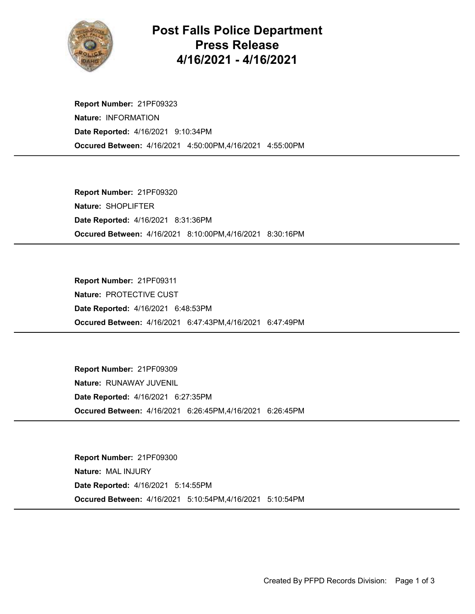

## Post Falls Police Department Press Release 4/16/2021 - 4/16/2021

Occured Between: 4/16/2021 4:50:00PM,4/16/2021 4:55:00PM Report Number: 21PF09323 Nature: INFORMATION Date Reported: 4/16/2021 9:10:34PM

Occured Between: 4/16/2021 8:10:00PM,4/16/2021 8:30:16PM Report Number: 21PF09320 Nature: SHOPLIFTER Date Reported: 4/16/2021 8:31:36PM

Occured Between: 4/16/2021 6:47:43PM,4/16/2021 6:47:49PM Report Number: 21PF09311 Nature: PROTECTIVE CUST Date Reported: 4/16/2021 6:48:53PM

Occured Between: 4/16/2021 6:26:45PM,4/16/2021 6:26:45PM Report Number: 21PF09309 Nature: RUNAWAY JUVENIL Date Reported: 4/16/2021 6:27:35PM

Occured Between: 4/16/2021 5:10:54PM,4/16/2021 5:10:54PM Report Number: 21PF09300 Nature: MAL INJURY Date Reported: 4/16/2021 5:14:55PM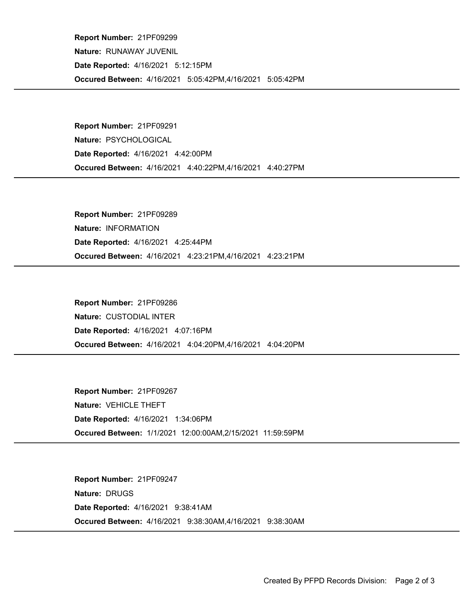Occured Between: 4/16/2021 5:05:42PM,4/16/2021 5:05:42PM Report Number: 21PF09299 Nature: RUNAWAY JUVENIL Date Reported: 4/16/2021 5:12:15PM

Occured Between: 4/16/2021 4:40:22PM,4/16/2021 4:40:27PM Report Number: 21PF09291 Nature: PSYCHOLOGICAL Date Reported: 4/16/2021 4:42:00PM

Occured Between: 4/16/2021 4:23:21PM,4/16/2021 4:23:21PM Report Number: 21PF09289 Nature: INFORMATION Date Reported: 4/16/2021 4:25:44PM

Occured Between: 4/16/2021 4:04:20PM,4/16/2021 4:04:20PM Report Number: 21PF09286 Nature: CUSTODIAL INTER Date Reported: 4/16/2021 4:07:16PM

Occured Between: 1/1/2021 12:00:00AM,2/15/2021 11:59:59PM Report Number: 21PF09267 Nature: VEHICLE THEFT Date Reported: 4/16/2021 1:34:06PM

Occured Between: 4/16/2021 9:38:30AM,4/16/2021 9:38:30AM Report Number: 21PF09247 Nature: DRUGS Date Reported: 4/16/2021 9:38:41AM